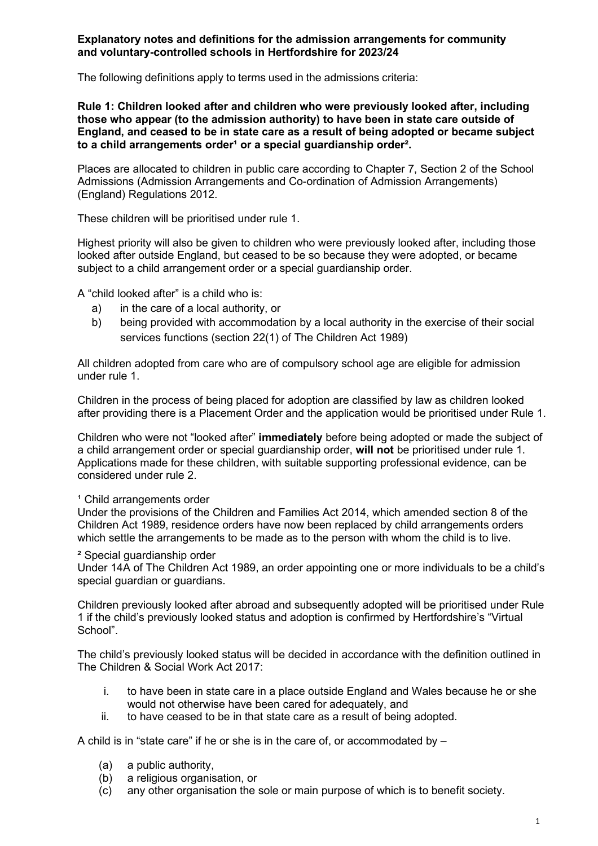#### **Explanatory notes and definitions for the admission arrangements for community and voluntary-controlled schools in Hertfordshire for 2023/24**

The following definitions apply to terms used in the admissions criteria:

**Rule 1: Children looked after and children who were previously looked after, including those who appear (to the admission authority) to have been in state care outside of England, and ceased to be in state care as a result of being adopted or became subject**  to a child arrangements order<sup>1</sup> or a special quardianship order<sup>2</sup>.

Places are allocated to children in public care according to Chapter 7, Section 2 of the School Admissions (Admission Arrangements and Co-ordination of Admission Arrangements) (England) Regulations 2012.

These children will be prioritised under rule 1.

Highest priority will also be given to children who were previously looked after, including those looked after outside England, but ceased to be so because they were adopted, or became subject to a child arrangement order or a special guardianship order.

A "child looked after" is a child who is:

- a) in the care of a local authority, or
- b) being provided with accommodation by a local authority in the exercise of their social services functions (section 22(1) of The Children Act 1989)

All children adopted from care who are of compulsory school age are eligible for admission under rule 1.

Children in the process of being placed for adoption are classified by law as children looked after providing there is a Placement Order and the application would be prioritised under Rule 1.

Children who were not "looked after" **immediately** before being adopted or made the subject of a child arrangement order or special guardianship order, **will not** be prioritised under rule 1. Applications made for these children, with suitable supporting professional evidence, can be considered under rule 2.

#### <sup>1</sup> Child arrangements order

Under the provisions of the Children and Families Act 2014, which amended section 8 of the Children Act 1989, residence orders have now been replaced by child arrangements orders which settle the arrangements to be made as to the person with whom the child is to live.

#### ² Special guardianship order

Under 14A of The Children Act 1989, an order appointing one or more individuals to be a child's special guardian or guardians.

Children previously looked after abroad and subsequently adopted will be prioritised under Rule 1 if the child's previously looked status and adoption is confirmed by Hertfordshire's "Virtual School".

The child's previously looked status will be decided in accordance with the definition outlined in The Children & Social Work Act 2017:

- i. to have been in state care in a place outside England and Wales because he or she would not otherwise have been cared for adequately, and
- ii. to have ceased to be in that state care as a result of being adopted.

A child is in "state care" if he or she is in the care of, or accommodated by –

- (a) a public authority,
- (b) a religious organisation, or
- (c) any other organisation the sole or main purpose of which is to benefit society.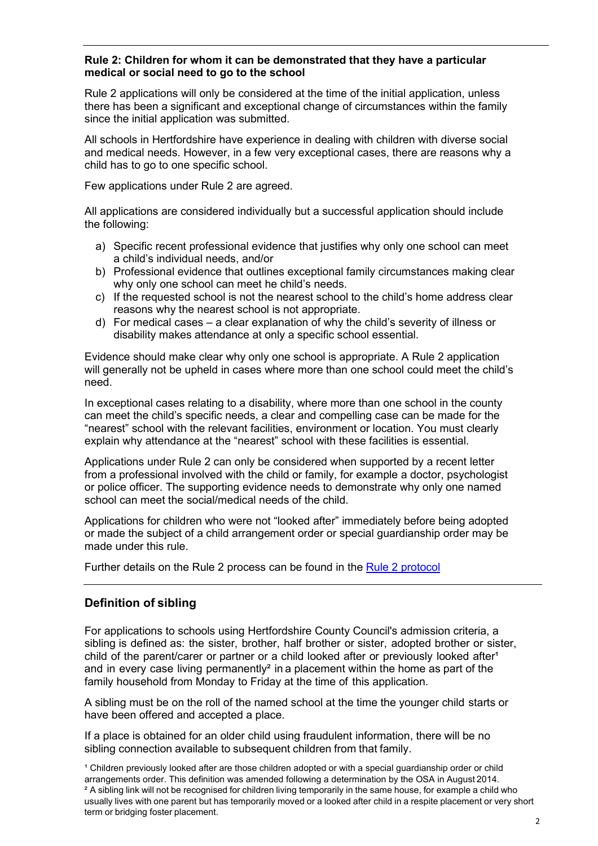#### **Rule 2: Children for whom it can be demonstrated that they have a particular medical or social need to go to the school**

Rule 2 applications will only be considered at the time of the initial application, unless there has been a significant and exceptional change of circumstances within the family since the initial application was submitted.

All schools in Hertfordshire have experience in dealing with children with diverse social and medical needs. However, in a few very exceptional cases, there are reasons why a child has to go to one specific school.

Few applications under Rule 2 are agreed.

All applications are considered individually but a successful application should include the following:

- a) Specific recent professional evidence that justifies why only one school can meet a child's individual needs, and/or
- b) Professional evidence that outlines exceptional family circumstances making clear why only one school can meet he child's needs.
- c) If the requested school is not the nearest school to the child's home address clear reasons why the nearest school is not appropriate.
- d) For medical cases a clear explanation of why the child's severity of illness or disability makes attendance at only a specific school essential.

Evidence should make clear why only one school is appropriate. A Rule 2 application will generally not be upheld in cases where more than one school could meet the child's need.

In exceptional cases relating to a disability, where more than one school in the county can meet the child's specific needs, a clear and compelling case can be made for the "nearest" school with the relevant facilities, environment or location. You must clearly explain why attendance at the "nearest" school with these facilities is essential.

Applications under Rule 2 can only be considered when supported by a recent letter from a professional involved with the child or family, for example a doctor, psychologist or police officer. The supporting evidence needs to demonstrate why only one named school can meet the social/medical needs of the child.

Applications for children who were not "looked after" immediately before being adopted or made the subject of a child arrangement order or special guardianship order may be made under this rule.

Further details on the Rule 2 process can be found in the [Rule 2 protocol](https://www.hertfordshire.gov.uk/media-library/documents/schools-and-education/admissions/rule-2-protocol.pdf)

# **Definition of sibling**

For applications to schools using Hertfordshire County Council's admission criteria, a sibling is defined as: the sister, brother, half brother or sister, adopted brother or sister, child of the parent/carer or partner or a child looked after or previously looked after<sup>1</sup> and in every case living permanently<sup>2</sup> in a placement within the home as part of the family household from Monday to Friday at the time of this application.

A sibling must be on the roll of the named school at the time the younger child starts or have been offered and accepted a place.

If a place is obtained for an older child using fraudulent information, there will be no sibling connection available to subsequent children from that family.

<sup>1</sup> Children previously looked after are those children adopted or with a special guardianship order or child arrangements order. This definition was amended following a determination by the OSA in August 2014. <sup>2</sup> A sibling link will not be recognised for children living temporarily in the same house, for example a child who usually lives with one parent but has temporarily moved or a looked after child in a respite placement or very short term or bridging foster placement.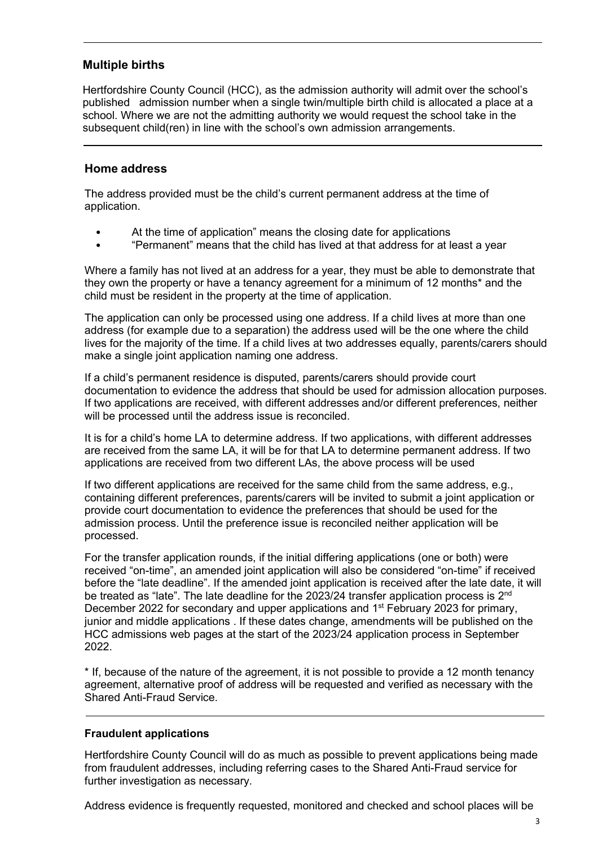# **Multiple births**

Hertfordshire County Council (HCC), as the admission authority will admit over the school's published admission number when a single twin/multiple birth child is allocated a place at a school. Where we are not the admitting authority we would request the school take in the subsequent child(ren) in line with the school's own admission arrangements.

# **Home address**

The address provided must be the child's current permanent address at the time of application.

- At the time of application" means the closing date for applications
- "Permanent" means that the child has lived at that address for at least a year

Where a family has not lived at an address for a year, they must be able to demonstrate that they own the property or have a tenancy agreement for a minimum of 12 months\* and the child must be resident in the property at the time of application.

The application can only be processed using one address. If a child lives at more than one address (for example due to a separation) the address used will be the one where the child lives for the majority of the time. If a child lives at two addresses equally, parents/carers should make a single joint application naming one address.

If a child's permanent residence is disputed, parents/carers should provide court documentation to evidence the address that should be used for admission allocation purposes. If two applications are received, with different addresses and/or different preferences, neither will be processed until the address issue is reconciled.

It is for a child's home LA to determine address. If two applications, with different addresses are received from the same LA, it will be for that LA to determine permanent address. If two applications are received from two different LAs, the above process will be used

If two different applications are received for the same child from the same address, e.g., containing different preferences, parents/carers will be invited to submit a joint application or provide court documentation to evidence the preferences that should be used for the admission process. Until the preference issue is reconciled neither application will be processed.

For the transfer application rounds, if the initial differing applications (one or both) were received "on-time", an amended joint application will also be considered "on-time" if received before the "late deadline". If the amended joint application is received after the late date, it will be treated as "late". The late deadline for the 2023/24 transfer application process is 2<sup>nd</sup> December 2022 for secondary and upper applications and 1<sup>st</sup> February 2023 for primary, junior and middle applications . If these dates change, amendments will be published on the HCC admissions web pages at the start of the 2023/24 application process in September 2022.

\* If, because of the nature of the agreement, it is not possible to provide a 12 month tenancy agreement, alternative proof of address will be requested and verified as necessary with the Shared Anti-Fraud Service.

## **Fraudulent applications**

Hertfordshire County Council will do as much as possible to prevent applications being made from fraudulent addresses, including referring cases to the Shared Anti-Fraud service for further investigation as necessary.

Address evidence is frequently requested, monitored and checked and school places will be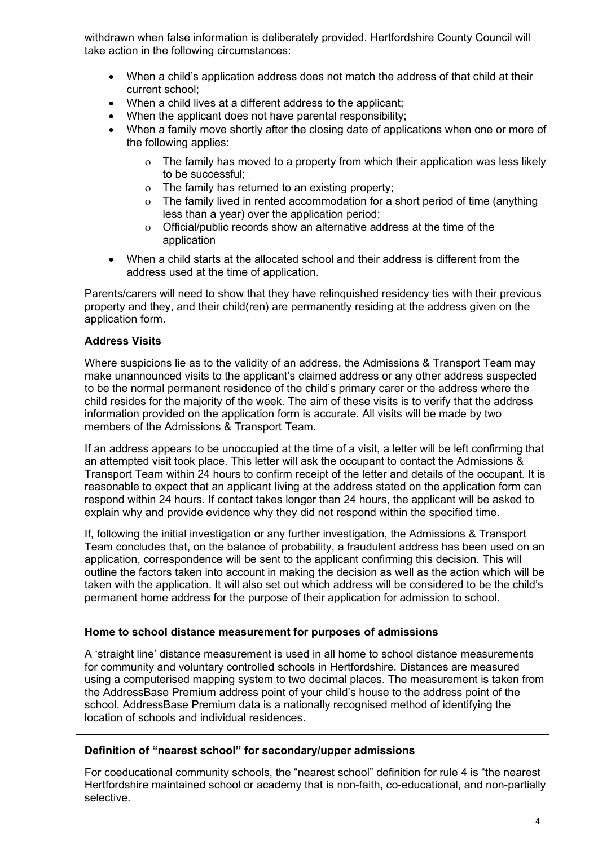withdrawn when false information is deliberately provided. Hertfordshire County Council will take action in the following circumstances:

- When a child's application address does not match the address of that child at their current school;
- When a child lives at a different address to the applicant;
- When the applicant does not have parental responsibility;
- When a family move shortly after the closing date of applications when one or more of the following applies:
	- ο The family has moved to a property from which their application was less likely to be successful;
	- ο The family has returned to an existing property;
	- ο The family lived in rented accommodation for a short period of time (anything less than a year) over the application period;
	- ο Official/public records show an alternative address at the time of the application
- When a child starts at the allocated school and their address is different from the address used at the time of application.

Parents/carers will need to show that they have relinquished residency ties with their previous property and they, and their child(ren) are permanently residing at the address given on the application form.

## **Address Visits**

Where suspicions lie as to the validity of an address, the Admissions & Transport Team may make unannounced visits to the applicant's claimed address or any other address suspected to be the normal permanent residence of the child's primary carer or the address where the child resides for the majority of the week. The aim of these visits is to verify that the address information provided on the application form is accurate. All visits will be made by two members of the Admissions & Transport Team.

If an address appears to be unoccupied at the time of a visit, a letter will be left confirming that an attempted visit took place. This letter will ask the occupant to contact the Admissions & Transport Team within 24 hours to confirm receipt of the letter and details of the occupant. It is reasonable to expect that an applicant living at the address stated on the application form can respond within 24 hours. If contact takes longer than 24 hours, the applicant will be asked to explain why and provide evidence why they did not respond within the specified time.

If, following the initial investigation or any further investigation, the Admissions & Transport Team concludes that, on the balance of probability, a fraudulent address has been used on an application, correspondence will be sent to the applicant confirming this decision. This will outline the factors taken into account in making the decision as well as the action which will be taken with the application. It will also set out which address will be considered to be the child's permanent home address for the purpose of their application for admission to school.

## **Home to school distance measurement for purposes of admissions**

A 'straight line' distance measurement is used in all home to school distance measurements for community and voluntary controlled schools in Hertfordshire. Distances are measured using a computerised mapping system to two decimal places. The measurement is taken from the AddressBase Premium address point of your child's house to the address point of the school. AddressBase Premium data is a nationally recognised method of identifying the location of schools and individual residences.

## **Definition of "nearest school" for secondary/upper admissions**

For coeducational community schools, the "nearest school" definition for rule 4 is "the nearest Hertfordshire maintained school or academy that is non-faith, co-educational, and non-partially selective.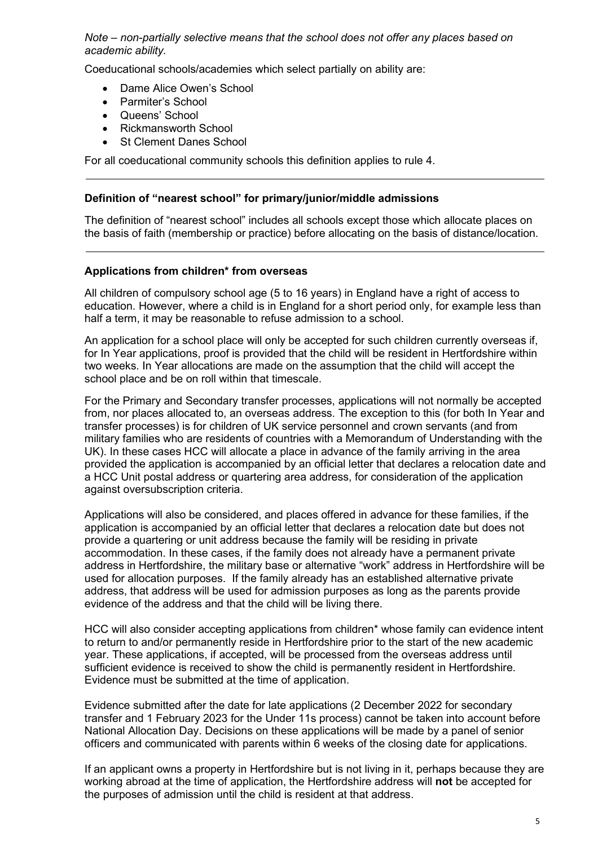*Note – non-partially selective means that the school does not offer any places based on academic ability.*

Coeducational schools/academies which select partially on ability are:

- Dame Alice Owen's School
- Parmiter's School
- Queens' School
- Rickmansworth School
- **St Clement Danes School**

For all coeducational community schools this definition applies to rule 4.

#### **Definition of "nearest school" for primary/junior/middle admissions**

The definition of "nearest school" includes all schools except those which allocate places on the basis of faith (membership or practice) before allocating on the basis of distance/location.

#### **Applications from children\* from overseas**

All children of compulsory school age (5 to 16 years) in England have a right of access to education. However, where a child is in England for a short period only, for example less than half a term, it may be reasonable to refuse admission to a school.

An application for a school place will only be accepted for such children currently overseas if, for In Year applications, proof is provided that the child will be resident in Hertfordshire within two weeks. In Year allocations are made on the assumption that the child will accept the school place and be on roll within that timescale.

For the Primary and Secondary transfer processes, applications will not normally be accepted from, nor places allocated to, an overseas address. The exception to this (for both In Year and transfer processes) is for children of UK service personnel and crown servants (and from military families who are residents of countries with a Memorandum of Understanding with the UK). In these cases HCC will allocate a place in advance of the family arriving in the area provided the application is accompanied by an official letter that declares a relocation date and a HCC Unit postal address or quartering area address, for consideration of the application against oversubscription criteria.

Applications will also be considered, and places offered in advance for these families, if the application is accompanied by an official letter that declares a relocation date but does not provide a quartering or unit address because the family will be residing in private accommodation. In these cases, if the family does not already have a permanent private address in Hertfordshire, the military base or alternative "work" address in Hertfordshire will be used for allocation purposes. If the family already has an established alternative private address, that address will be used for admission purposes as long as the parents provide evidence of the address and that the child will be living there.

HCC will also consider accepting applications from children\* whose family can evidence intent to return to and/or permanently reside in Hertfordshire prior to the start of the new academic year. These applications, if accepted, will be processed from the overseas address until sufficient evidence is received to show the child is permanently resident in Hertfordshire. Evidence must be submitted at the time of application.

Evidence submitted after the date for late applications (2 December 2022 for secondary transfer and 1 February 2023 for the Under 11s process) cannot be taken into account before National Allocation Day. Decisions on these applications will be made by a panel of senior officers and communicated with parents within 6 weeks of the closing date for applications.

If an applicant owns a property in Hertfordshire but is not living in it, perhaps because they are working abroad at the time of application, the Hertfordshire address will **not** be accepted for the purposes of admission until the child is resident at that address.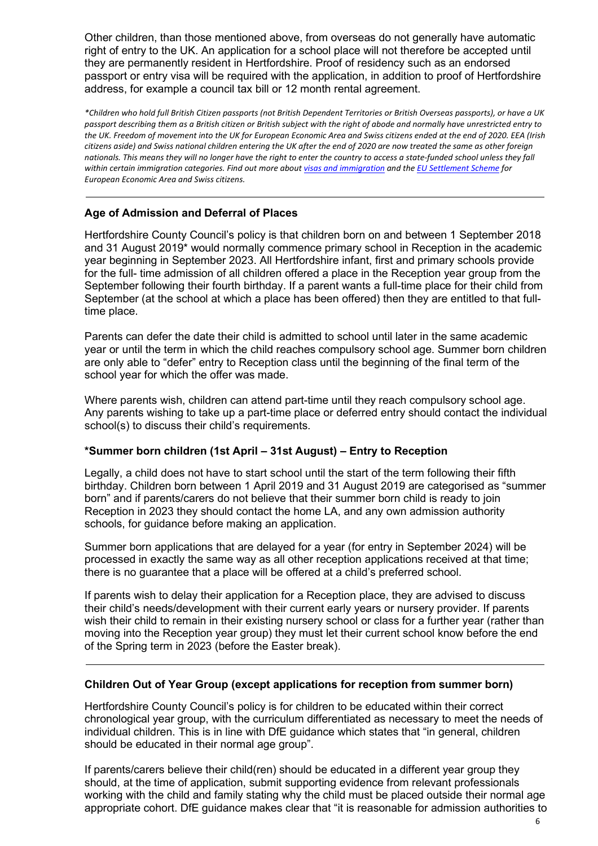Other children, than those mentioned above, from overseas do not generally have automatic right of entry to the UK. An application for a school place will not therefore be accepted until they are permanently resident in Hertfordshire. Proof of residency such as an endorsed passport or entry visa will be required with the application, in addition to proof of Hertfordshire address, for example a council tax bill or 12 month rental agreement.

*\*Children who hold full British Citizen passports (not British Dependent Territories or British Overseas passports), or have a UK passport describing them as a British citizen or British subject with the right of abode and normally have unrestricted entry to the UK. Freedom of movement into the UK for European Economic Area and Swiss citizens ended at the end of 2020. EEA (Irish citizens aside) and Swiss national children entering the UK after the end of 2020 are now treated the same as other foreign nationals. This means they will no longer have the right to enter the country to access a state-funded school unless they fall within certain immigration categories. Find out more abou[t visas and immigration](https://www.gov.uk/browse/visas-immigration) and th[e EU Settlement Scheme](https://www.gov.uk/settled-status-eu-citizens-families) for European Economic Area and Swiss citizens.*

## **Age of Admission and Deferral of Places**

Hertfordshire County Council's policy is that children born on and between 1 September 2018 and 31 August 2019\* would normally commence primary school in Reception in the academic year beginning in September 2023. All Hertfordshire infant, first and primary schools provide for the full- time admission of all children offered a place in the Reception year group from the September following their fourth birthday. If a parent wants a full-time place for their child from September (at the school at which a place has been offered) then they are entitled to that fulltime place.

Parents can defer the date their child is admitted to school until later in the same academic year or until the term in which the child reaches compulsory school age. Summer born children are only able to "defer" entry to Reception class until the beginning of the final term of the school year for which the offer was made.

Where parents wish, children can attend part-time until they reach compulsory school age. Any parents wishing to take up a part-time place or deferred entry should contact the individual school(s) to discuss their child's requirements.

## **\*Summer born children (1st April – 31st August) – Entry to Reception**

Legally, a child does not have to start school until the start of the term following their fifth birthday. Children born between 1 April 2019 and 31 August 2019 are categorised as "summer born" and if parents/carers do not believe that their summer born child is ready to join Reception in 2023 they should contact the home LA, and any own admission authority schools, for guidance before making an application.

Summer born applications that are delayed for a year (for entry in September 2024) will be processed in exactly the same way as all other reception applications received at that time; there is no guarantee that a place will be offered at a child's preferred school.

If parents wish to delay their application for a Reception place, they are advised to discuss their child's needs/development with their current early years or nursery provider. If parents wish their child to remain in their existing nursery school or class for a further year (rather than moving into the Reception year group) they must let their current school know before the end of the Spring term in 2023 (before the Easter break).

## **Children Out of Year Group (except applications for reception from summer born)**

Hertfordshire County Council's policy is for children to be educated within their correct chronological year group, with the curriculum differentiated as necessary to meet the needs of individual children. This is in line with DfE guidance which states that "in general, children should be educated in their normal age group".

If parents/carers believe their child(ren) should be educated in a different year group they should, at the time of application, submit supporting evidence from relevant professionals working with the child and family stating why the child must be placed outside their normal age appropriate cohort. DfE guidance makes clear that "it is reasonable for admission authorities to